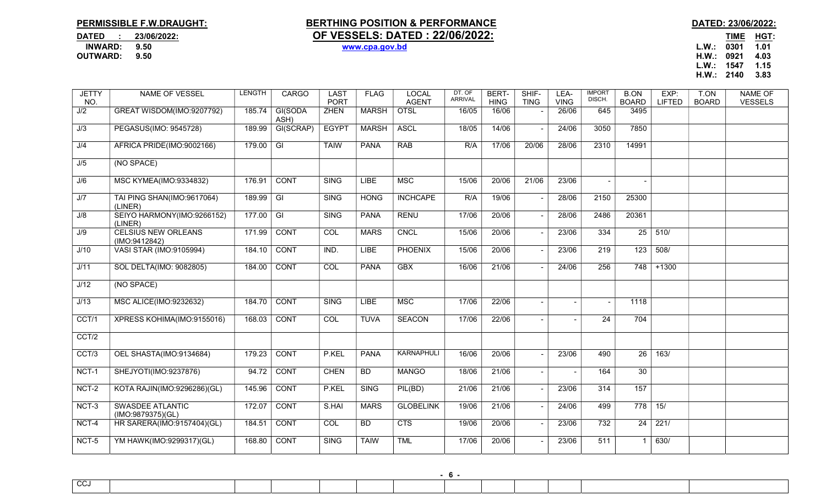## PERMISSIBLE F.W.DRAUGHT: BERTHING POSITION & PERFORMANCE DATED: 23/06/2022:

## DATED : 23/06/2022: <u>OF VESSELS: DATED : 22/06/2022:</u><br>INWARD: 9.50 WWW.cpa.gov.bd INWARD: 9.50 www.cpa.gov.bd L.W.: 0301 1.01

H.W.: 0921 4.03 L.W.: 1547 1.15 H.W.: 2140 3.83

| <b>JETTY</b><br>NO. | <b>NAME OF VESSEL</b>                        | <b>LENGTH</b> | <b>CARGO</b>            | <b>LAST</b><br><b>PORT</b> | <b>FLAG</b>  | <b>LOCAL</b><br><b>AGENT</b> | DT. OF<br><b>ARRIVAL</b> | BERT-<br><b>HING</b> | SHIF-<br><b>TING</b> | LEA-<br><b>VING</b>      | <b>IMPORT</b><br>DISCH. | <b>B.ON</b><br><b>BOARD</b> | EXP:<br><b>LIFTED</b> | T.ON<br><b>BOARD</b> | <b>NAME OF</b><br><b>VESSELS</b> |
|---------------------|----------------------------------------------|---------------|-------------------------|----------------------------|--------------|------------------------------|--------------------------|----------------------|----------------------|--------------------------|-------------------------|-----------------------------|-----------------------|----------------------|----------------------------------|
| J/2                 | GREAT WISDOM(IMO:9207792)                    | 185.74        | GI(SODA<br>ASH)         | <b>ZHEN</b>                | <b>MARSH</b> | <b>OTSL</b>                  | 16/05                    | 16/06                |                      | 26/06                    | 645                     | 3495                        |                       |                      |                                  |
| J/3                 | PEGASUS(IMO: 9545728)                        | 189.99        | GI(SCRAP)               | <b>EGYPT</b>               | <b>MARSH</b> | <b>ASCL</b>                  | 18/05                    | 14/06                |                      | 24/06                    | 3050                    | 7850                        |                       |                      |                                  |
| J/4                 | AFRICA PRIDE(IMO:9002166)                    | 179.00        | $\overline{\mathbb{G}}$ | <b>TAIW</b>                | <b>PANA</b>  | <b>RAB</b>                   | R/A                      | 17/06                | 20/06                | 28/06                    | 2310                    | 14991                       |                       |                      |                                  |
| J/5                 | (NO SPACE)                                   |               |                         |                            |              |                              |                          |                      |                      |                          |                         |                             |                       |                      |                                  |
| J/6                 | MSC KYMEA(IMO:9334832)                       | 176.91        | <b>CONT</b>             | <b>SING</b>                | <b>LIBE</b>  | <b>MSC</b>                   | 15/06                    | 20/06                | 21/06                | 23/06                    |                         |                             |                       |                      |                                  |
| J/7                 | TAI PING SHAN(IMO:9617064)<br>(LINER)        | 189.99        | GI                      | <b>SING</b>                | <b>HONG</b>  | <b>INCHCAPE</b>              | R/A                      | 19/06                |                      | 28/06                    | 2150                    | 25300                       |                       |                      |                                  |
| J/8                 | SEIYO HARMONY(IMO:9266152)<br>(LINER)        | 177.00        | $\overline{\mathsf{G}}$ | <b>SING</b>                | <b>PANA</b>  | <b>RENU</b>                  | 17/06                    | 20/06                |                      | 28/06                    | 2486                    | 20361                       |                       |                      |                                  |
| J/9                 | <b>CELSIUS NEW ORLEANS</b><br>(IMO:9412842)  | 171.99        | CONT                    | COL                        | <b>MARS</b>  | <b>CNCL</b>                  | 15/06                    | 20/06                |                      | 23/06                    | 334                     | 25                          | 510/                  |                      |                                  |
| J/10                | VASI STAR (IMO:9105994)                      | 184.10        | <b>CONT</b>             | IND.                       | <b>LIBE</b>  | <b>PHOENIX</b>               | 15/06                    | 20/06                |                      | 23/06                    | 219                     | 123                         | 508/                  |                      |                                  |
| J/11                | SOL DELTA(IMO: 9082805)                      | 184.00        | <b>CONT</b>             | COL                        | <b>PANA</b>  | <b>GBX</b>                   | 16/06                    | 21/06                |                      | 24/06                    | 256                     | 748                         | $+1300$               |                      |                                  |
| J/12                | (NO SPACE)                                   |               |                         |                            |              |                              |                          |                      |                      |                          |                         |                             |                       |                      |                                  |
| J/13                | MSC ALICE(IMO:9232632)                       | 184.70        | <b>CONT</b>             | <b>SING</b>                | <b>LIBE</b>  | <b>MSC</b>                   | 17/06                    | 22/06                |                      | $\blacksquare$           |                         | 1118                        |                       |                      |                                  |
| CCT/1               | XPRESS KOHIMA(IMO:9155016)                   | 168.03        | CONT                    | COL                        | <b>TUVA</b>  | <b>SEACON</b>                | 17/06                    | 22/06                |                      | $\blacksquare$           | 24                      | 704                         |                       |                      |                                  |
| CCT/2               |                                              |               |                         |                            |              |                              |                          |                      |                      |                          |                         |                             |                       |                      |                                  |
| CCT/3               | OEL SHASTA(IMO:9134684)                      | 179.23        | <b>CONT</b>             | P.KEL                      | <b>PANA</b>  | KARNAPHULI                   | 16/06                    | 20/06                |                      | 23/06                    | 490                     | $\overline{26}$             | 163/                  |                      |                                  |
| NCT-1               | SHEJYOTI(IMO:9237876)                        | 94.72         | <b>CONT</b>             | <b>CHEN</b>                | <b>BD</b>    | <b>MANGO</b>                 | 18/06                    | 21/06                |                      | $\overline{\phantom{a}}$ | 164                     | 30                          |                       |                      |                                  |
| NCT-2               | KOTA RAJIN(IMO:9296286)(GL)                  | 145.96        | <b>CONT</b>             | P.KEL                      | <b>SING</b>  | PIL(BD)                      | 21/06                    | 21/06                |                      | 23/06                    | 314                     | 157                         |                       |                      |                                  |
| NCT-3               | <b>SWASDEE ATLANTIC</b><br>(IMO:9879375)(GL) | 172.07        | <b>CONT</b>             | S.HAI                      | <b>MARS</b>  | <b>GLOBELINK</b>             | 19/06                    | 21/06                |                      | 24/06                    | 499                     | $778$ 15/                   |                       |                      |                                  |
| NCT-4               | HR SARERA(IMO:9157404)(GL)                   | 184.51        | CONT                    | COL                        | <b>BD</b>    | <b>CTS</b>                   | 19/06                    | 20/06                |                      | 23/06                    | 732                     | 24                          | 221/                  |                      |                                  |
| NCT-5               | YM HAWK(IMO:9299317)(GL)                     | 168.80        | <b>CONT</b>             | <b>SING</b>                | <b>TAIW</b>  | <b>TML</b>                   | 17/06                    | 20/06                |                      | 23/06                    | 511                     | -1                          | 630/                  |                      |                                  |

- 6 -

**CC1**